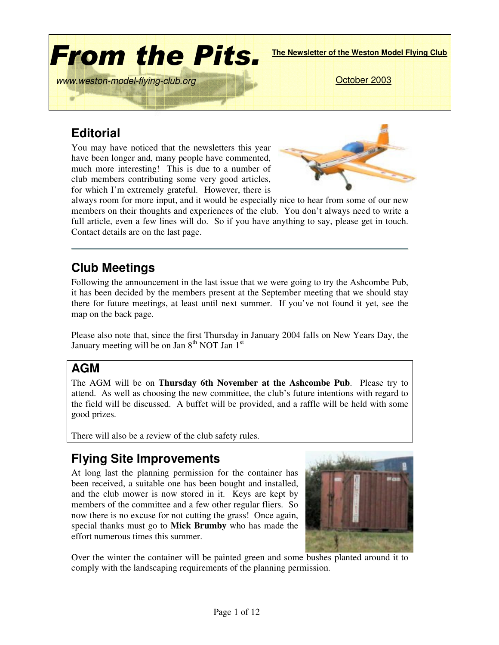

# **Editorial**

You may have noticed that the newsletters this year have been longer and, many people have commented, much more interesting! This is due to a number of club members contributing some very good articles, for which I'm extremely grateful. However, there is



always room for more input, and it would be especially nice to hear from some of our new members on their thoughts and experiences of the club. You don't always need to write a full article, even a few lines will do. So if you have anything to say, please get in touch. Contact details are on the last page.

# **Club Meetings**

Following the announcement in the last issue that we were going to try the Ashcombe Pub, it has been decided by the members present at the September meeting that we should stay there for future meetings, at least until next summer. If you've not found it yet, see the map on the back page.

Please also note that, since the first Thursday in January 2004 falls on New Years Day, the January meeting will be on Jan 8<sup>th</sup> NOT Jan 1<sup>st</sup>

# **AGM**

The AGM will be on **Thursday 6th November at the Ashcombe Pub**. Please try to attend. As well as choosing the new committee, the club's future intentions with regard to the field will be discussed. A buffet will be provided, and a raffle will be held with some good prizes.

There will also be a review of the club safety rules.

# **Flying Site Improvements**

At long last the planning permission for the container has been received, a suitable one has been bought and installed, and the club mower is now stored in it. Keys are kept by members of the committee and a few other regular fliers. So now there is no excuse for not cutting the grass! Once again, special thanks must go to **Mick Brumby** who has made the effort numerous times this summer.



Over the winter the container will be painted green and some bushes planted around it to comply with the landscaping requirements of the planning permission.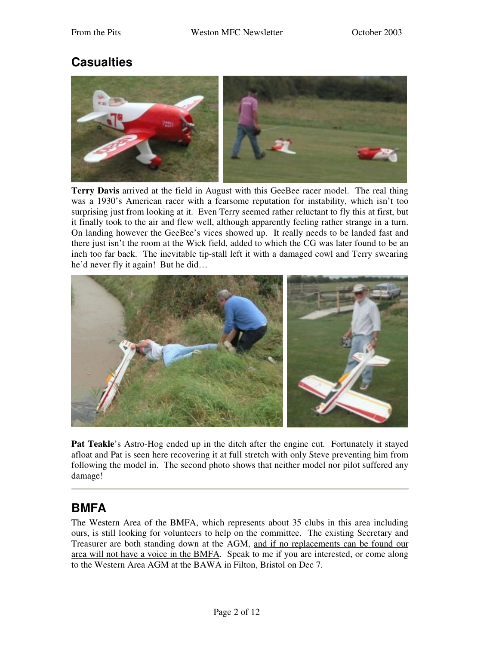## **Casualties**



**Terry Davis** arrived at the field in August with this GeeBee racer model. The real thing was a 1930's American racer with a fearsome reputation for instability, which isn't too surprising just from looking at it. Even Terry seemed rather reluctant to fly this at first, but it finally took to the air and flew well, although apparently feeling rather strange in a turn. On landing however the GeeBee's vices showed up. It really needs to be landed fast and there just isn't the room at the Wick field, added to which the CG was later found to be an inch too far back. The inevitable tip-stall left it with a damaged cowl and Terry swearing he'd never fly it again! But he did…



**Pat Teakle**'s Astro-Hog ended up in the ditch after the engine cut. Fortunately it stayed afloat and Pat is seen here recovering it at full stretch with only Steve preventing him from following the model in. The second photo shows that neither model nor pilot suffered any damage!

## **BMFA**

The Western Area of the BMFA, which represents about 35 clubs in this area including ours, is still looking for volunteers to help on the committee. The existing Secretary and Treasurer are both standing down at the AGM, and if no replacements can be found our area will not have a voice in the BMFA. Speak to me if you are interested, or come along to the Western Area AGM at the BAWA in Filton, Bristol on Dec 7.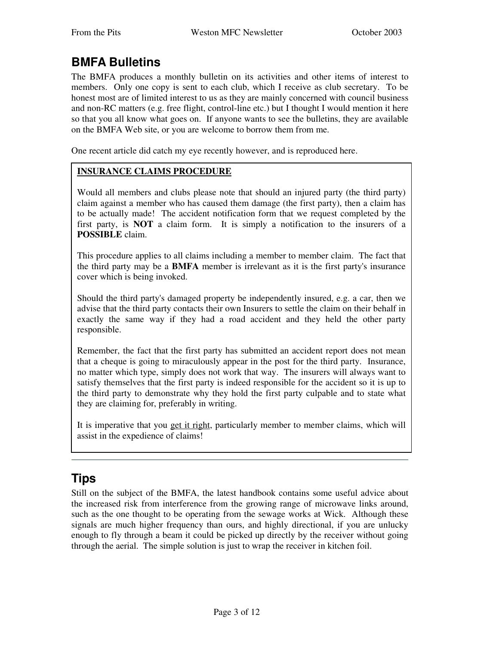# **BMFA Bulletins**

The BMFA produces a monthly bulletin on its activities and other items of interest to members. Only one copy is sent to each club, which I receive as club secretary. To be honest most are of limited interest to us as they are mainly concerned with council business and non-RC matters (e.g. free flight, control-line etc.) but I thought I would mention it here so that you all know what goes on. If anyone wants to see the bulletins, they are available on the BMFA Web site, or you are welcome to borrow them from me.

One recent article did catch my eye recently however, and is reproduced here.

#### **INSURANCE CLAIMS PROCEDURE**

Would all members and clubs please note that should an injured party (the third party) claim against a member who has caused them damage (the first party), then a claim has to be actually made! The accident notification form that we request completed by the first party, is **NOT** a claim form. It is simply a notification to the insurers of a **POSSIBLE** claim.

This procedure applies to all claims including a member to member claim. The fact that the third party may be a **BMFA** member is irrelevant as it is the first party's insurance cover which is being invoked.

Should the third party's damaged property be independently insured, e.g. a car, then we advise that the third party contacts their own Insurers to settle the claim on their behalf in exactly the same way if they had a road accident and they held the other party responsible.

Remember, the fact that the first party has submitted an accident report does not mean that a cheque is going to miraculously appear in the post for the third party. Insurance, no matter which type, simply does not work that way. The insurers will always want to satisfy themselves that the first party is indeed responsible for the accident so it is up to the third party to demonstrate why they hold the first party culpable and to state what they are claiming for, preferably in writing.

It is imperative that you get it right, particularly member to member claims, which will assist in the expedience of claims!

# **Tips**

Still on the subject of the BMFA, the latest handbook contains some useful advice about the increased risk from interference from the growing range of microwave links around, such as the one thought to be operating from the sewage works at Wick. Although these signals are much higher frequency than ours, and highly directional, if you are unlucky enough to fly through a beam it could be picked up directly by the receiver without going through the aerial. The simple solution is just to wrap the receiver in kitchen foil.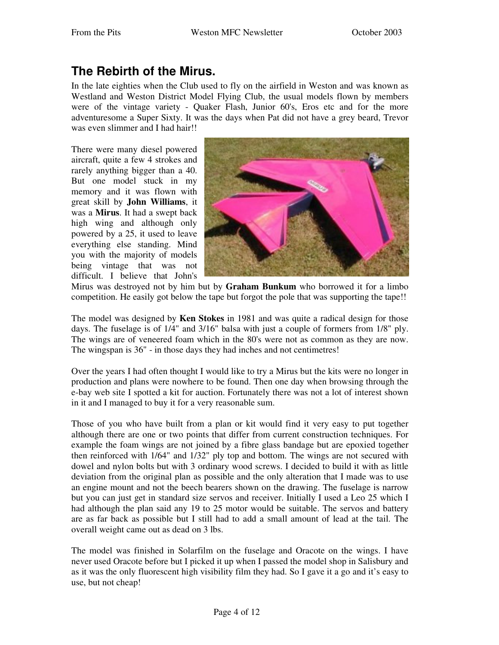## **The Rebirth of the Mirus.**

In the late eighties when the Club used to fly on the airfield in Weston and was known as Westland and Weston District Model Flying Club, the usual models flown by members were of the vintage variety - Quaker Flash, Junior 60's, Eros etc and for the more adventuresome a Super Sixty. It was the days when Pat did not have a grey beard, Trevor was even slimmer and I had hair!!

There were many diesel powered aircraft, quite a few 4 strokes and rarely anything bigger than a 40. But one model stuck in my memory and it was flown with great skill by **John Williams**, it was a **Mirus**. It had a swept back high wing and although only powered by a 25, it used to leave everything else standing. Mind you with the majority of models being vintage that was not difficult. I believe that John's



Mirus was destroyed not by him but by **Graham Bunkum** who borrowed it for a limbo competition. He easily got below the tape but forgot the pole that was supporting the tape!!

The model was designed by **Ken Stokes** in 1981 and was quite a radical design for those days. The fuselage is of 1/4" and 3/16" balsa with just a couple of formers from 1/8" ply. The wings are of veneered foam which in the 80's were not as common as they are now. The wingspan is 36" - in those days they had inches and not centimetres!

Over the years I had often thought I would like to try a Mirus but the kits were no longer in production and plans were nowhere to be found. Then one day when browsing through the e-bay web site I spotted a kit for auction. Fortunately there was not a lot of interest shown in it and I managed to buy it for a very reasonable sum.

Those of you who have built from a plan or kit would find it very easy to put together although there are one or two points that differ from current construction techniques. For example the foam wings are not joined by a fibre glass bandage but are epoxied together then reinforced with 1/64" and 1/32" ply top and bottom. The wings are not secured with dowel and nylon bolts but with 3 ordinary wood screws. I decided to build it with as little deviation from the original plan as possible and the only alteration that I made was to use an engine mount and not the beech bearers shown on the drawing. The fuselage is narrow but you can just get in standard size servos and receiver. Initially I used a Leo 25 which I had although the plan said any 19 to 25 motor would be suitable. The servos and battery are as far back as possible but I still had to add a small amount of lead at the tail. The overall weight came out as dead on 3 lbs.

The model was finished in Solarfilm on the fuselage and Oracote on the wings. I have never used Oracote before but I picked it up when I passed the model shop in Salisbury and as it was the only fluorescent high visibility film they had. So I gave it a go and it's easy to use, but not cheap!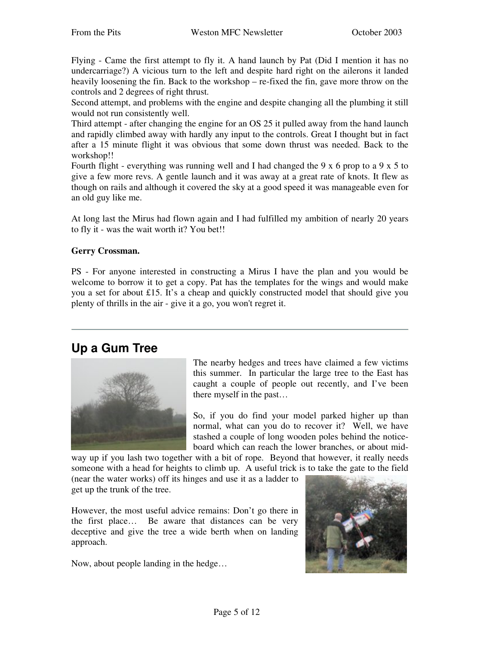Flying - Came the first attempt to fly it. A hand launch by Pat (Did I mention it has no undercarriage?) A vicious turn to the left and despite hard right on the ailerons it landed heavily loosening the fin. Back to the workshop – re-fixed the fin, gave more throw on the controls and 2 degrees of right thrust.

Second attempt, and problems with the engine and despite changing all the plumbing it still would not run consistently well.

Third attempt - after changing the engine for an OS 25 it pulled away from the hand launch and rapidly climbed away with hardly any input to the controls. Great I thought but in fact after a 15 minute flight it was obvious that some down thrust was needed. Back to the workshop!!

Fourth flight - everything was running well and I had changed the 9 x 6 prop to a 9 x 5 to give a few more revs. A gentle launch and it was away at a great rate of knots. It flew as though on rails and although it covered the sky at a good speed it was manageable even for an old guy like me.

At long last the Mirus had flown again and I had fulfilled my ambition of nearly 20 years to fly it - was the wait worth it? You bet!!

#### **Gerry Crossman.**

PS - For anyone interested in constructing a Mirus I have the plan and you would be welcome to borrow it to get a copy. Pat has the templates for the wings and would make you a set for about £15. It's a cheap and quickly constructed model that should give you plenty of thrills in the air - give it a go, you won't regret it.

### **Up a Gum Tree**



The nearby hedges and trees have claimed a few victims this summer. In particular the large tree to the East has caught a couple of people out recently, and I've been there myself in the past…

So, if you do find your model parked higher up than normal, what can you do to recover it? Well, we have stashed a couple of long wooden poles behind the noticeboard which can reach the lower branches, or about mid-

way up if you lash two together with a bit of rope. Beyond that however, it really needs someone with a head for heights to climb up. A useful trick is to take the gate to the field

(near the water works) off its hinges and use it as a ladder to get up the trunk of the tree.

However, the most useful advice remains: Don't go there in the first place… Be aware that distances can be very deceptive and give the tree a wide berth when on landing approach.

Now, about people landing in the hedge…

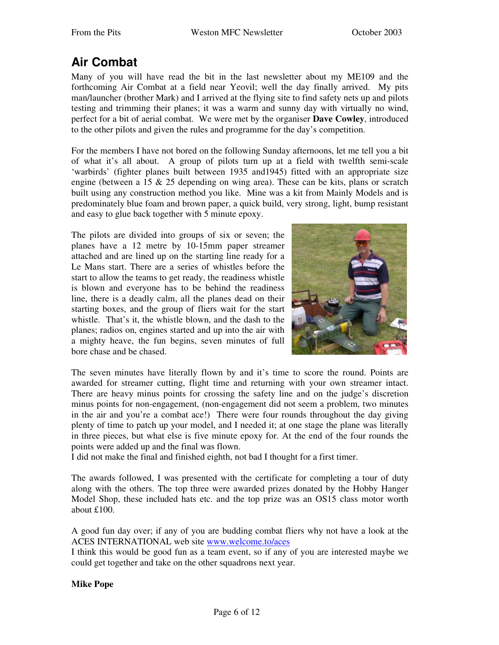# **Air Combat**

Many of you will have read the bit in the last newsletter about my ME109 and the forthcoming Air Combat at a field near Yeovil; well the day finally arrived. My pits man/launcher (brother Mark) and I arrived at the flying site to find safety nets up and pilots testing and trimming their planes; it was a warm and sunny day with virtually no wind, perfect for a bit of aerial combat. We were met by the organiser **Dave Cowley**, introduced to the other pilots and given the rules and programme for the day's competition.

For the members I have not bored on the following Sunday afternoons, let me tell you a bit of what it's all about. A group of pilots turn up at a field with twelfth semi-scale 'warbirds' (fighter planes built between 1935 and1945) fitted with an appropriate size engine (between a 15 & 25 depending on wing area). These can be kits, plans or scratch built using any construction method you like. Mine was a kit from Mainly Models and is predominately blue foam and brown paper, a quick build, very strong, light, bump resistant and easy to glue back together with 5 minute epoxy.

The pilots are divided into groups of six or seven; the planes have a 12 metre by 10-15mm paper streamer attached and are lined up on the starting line ready for a Le Mans start. There are a series of whistles before the start to allow the teams to get ready, the readiness whistle is blown and everyone has to be behind the readiness line, there is a deadly calm, all the planes dead on their starting boxes, and the group of fliers wait for the start whistle. That's it, the whistle blown, and the dash to the planes; radios on, engines started and up into the air with a mighty heave, the fun begins, seven minutes of full bore chase and be chased.



The seven minutes have literally flown by and it's time to score the round. Points are awarded for streamer cutting, flight time and returning with your own streamer intact. There are heavy minus points for crossing the safety line and on the judge's discretion minus points for non-engagement, (non-engagement did not seem a problem, two minutes in the air and you're a combat ace!) There were four rounds throughout the day giving plenty of time to patch up your model, and I needed it; at one stage the plane was literally in three pieces, but what else is five minute epoxy for. At the end of the four rounds the points were added up and the final was flown.

I did not make the final and finished eighth, not bad I thought for a first timer.

The awards followed, I was presented with the certificate for completing a tour of duty along with the others. The top three were awarded prizes donated by the Hobby Hanger Model Shop, these included hats etc. and the top prize was an OS15 class motor worth about £100.

A good fun day over; if any of you are budding combat fliers why not have a look at the ACES INTERNATIONAL web site www.welcome.to/aces

I think this would be good fun as a team event, so if any of you are interested maybe we could get together and take on the other squadrons next year.

**Mike Pope**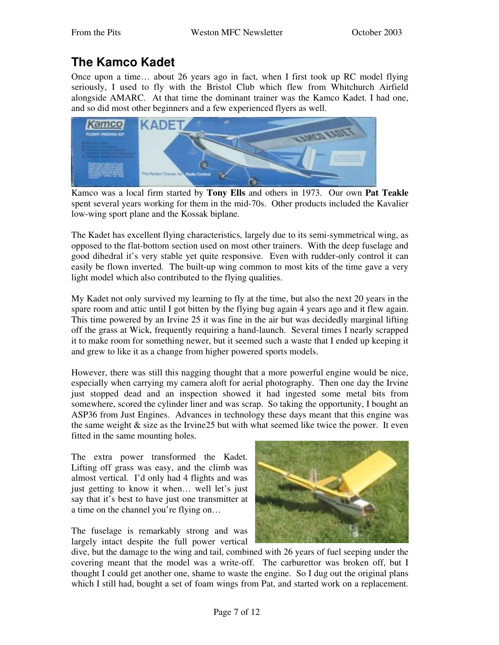# **The Kamco Kadet**

Once upon a time… about 26 years ago in fact, when I first took up RC model flying seriously, I used to fly with the Bristol Club which flew from Whitchurch Airfield alongside AMARC. At that time the dominant trainer was the Kamco Kadet. I had one, and so did most other beginners and a few experienced flyers as well.



Kamco was a local firm started by **Tony Ells** and others in 1973. Our own **Pat Teakle** spent several years working for them in the mid-70s. Other products included the Kavalier low-wing sport plane and the Kossak biplane.

The Kadet has excellent flying characteristics, largely due to its semi-symmetrical wing, as opposed to the flat-bottom section used on most other trainers. With the deep fuselage and good dihedral it's very stable yet quite responsive. Even with rudder-only control it can easily be flown inverted. The built-up wing common to most kits of the time gave a very light model which also contributed to the flying qualities.

My Kadet not only survived my learning to fly at the time, but also the next 20 years in the spare room and attic until I got bitten by the flying bug again 4 years ago and it flew again. This time powered by an Irvine 25 it was fine in the air but was decidedly marginal lifting off the grass at Wick, frequently requiring a hand-launch. Several times I nearly scrapped it to make room for something newer, but it seemed such a waste that I ended up keeping it and grew to like it as a change from higher powered sports models.

However, there was still this nagging thought that a more powerful engine would be nice, especially when carrying my camera aloft for aerial photography. Then one day the Irvine just stopped dead and an inspection showed it had ingested some metal bits from somewhere, scored the cylinder liner and was scrap. So taking the opportunity, I bought an ASP36 from Just Engines. Advances in technology these days meant that this engine was the same weight  $&$  size as the Irvine25 but with what seemed like twice the power. It even fitted in the same mounting holes.

The extra power transformed the Kadet. Lifting off grass was easy, and the climb was almost vertical. I'd only had 4 flights and was just getting to know it when… well let's just say that it's best to have just one transmitter at a time on the channel you're flying on…

The fuselage is remarkably strong and was largely intact despite the full power vertical



dive, but the damage to the wing and tail, combined with 26 years of fuel seeping under the covering meant that the model was a write-off. The carburettor was broken off, but I thought I could get another one, shame to waste the engine. So I dug out the original plans which I still had, bought a set of foam wings from Pat, and started work on a replacement.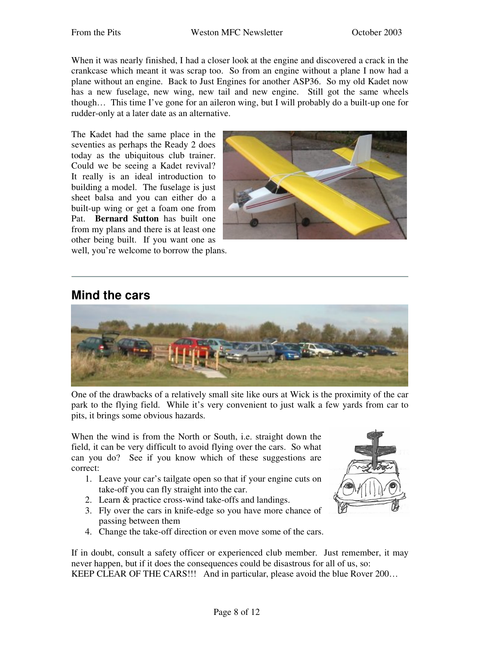When it was nearly finished, I had a closer look at the engine and discovered a crack in the crankcase which meant it was scrap too. So from an engine without a plane I now had a plane without an engine. Back to Just Engines for another ASP36. So my old Kadet now has a new fuselage, new wing, new tail and new engine. Still got the same wheels though… This time I've gone for an aileron wing, but I will probably do a built-up one for rudder-only at a later date as an alternative.

The Kadet had the same place in the seventies as perhaps the Ready 2 does today as the ubiquitous club trainer. Could we be seeing a Kadet revival? It really is an ideal introduction to building a model. The fuselage is just sheet balsa and you can either do a built-up wing or get a foam one from Pat. **Bernard Sutton** has built one from my plans and there is at least one other being built. If you want one as well, you're welcome to borrow the plans.



### **Mind the cars**



One of the drawbacks of a relatively small site like ours at Wick is the proximity of the car park to the flying field. While it's very convenient to just walk a few yards from car to pits, it brings some obvious hazards.

When the wind is from the North or South, i.e. straight down the field, it can be very difficult to avoid flying over the cars. So what can you do? See if you know which of these suggestions are correct:

- 1. Leave your car's tailgate open so that if your engine cuts on take-off you can fly straight into the car.
- 2. Learn & practice cross-wind take-offs and landings.
- 3. Fly over the cars in knife-edge so you have more chance of passing between them
- 4. Change the take-off direction or even move some of the cars.

If in doubt, consult a safety officer or experienced club member. Just remember, it may never happen, but if it does the consequences could be disastrous for all of us, so: KEEP CLEAR OF THE CARS!!! And in particular, please avoid the blue Rover 200…

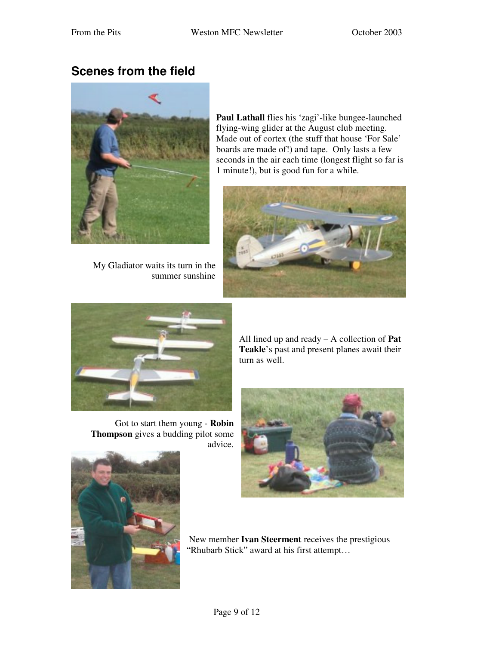## **Scenes from the field**



My Gladiator waits its turn in the summer sunshine

**Paul Lathall** flies his 'zagi'-like bungee-launched flying-wing glider at the August club meeting. Made out of cortex (the stuff that house 'For Sale' boards are made of!) and tape. Only lasts a few seconds in the air each time (longest flight so far is 1 minute!), but is good fun for a while.





Got to start them young - **Robin Thompson** gives a budding pilot some advice. All lined up and ready – A collection of **Pat Teakle**'s past and present planes await their turn as well.





New member **Ivan Steerment** receives the prestigious "Rhubarb Stick" award at his first attempt…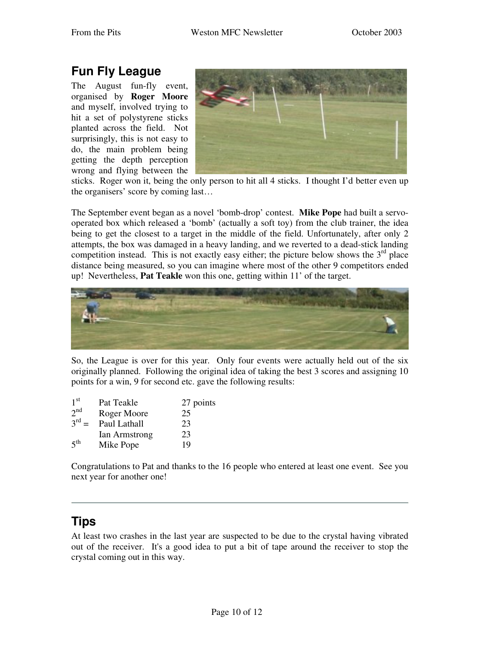# **Fun Fly League**

The August fun-fly event, organised by **Roger Moore** and myself, involved trying to hit a set of polystyrene sticks planted across the field. Not surprisingly, this is not easy to do, the main problem being getting the depth perception wrong and flying between the



sticks. Roger won it, being the only person to hit all 4 sticks. I thought I'd better even up the organisers' score by coming last…

The September event began as a novel 'bomb-drop' contest. **Mike Pope** had built a servooperated box which released a 'bomb' (actually a soft toy) from the club trainer, the idea being to get the closest to a target in the middle of the field. Unfortunately, after only 2 attempts, the box was damaged in a heavy landing, and we reverted to a dead-stick landing competition instead. This is not exactly easy either; the picture below shows the  $3<sup>rd</sup>$  place distance being measured, so you can imagine where most of the other 9 competitors ended up! Nevertheless, **Pat Teakle** won this one, getting within 11' of the target.



So, the League is over for this year. Only four events were actually held out of the six originally planned. Following the original idea of taking the best 3 scores and assigning 10 points for a win, 9 for second etc. gave the following results:

| 1 <sup>st</sup> | Pat Teakle    | 27 points |
|-----------------|---------------|-----------|
| 2 <sup>nd</sup> | Roger Moore   | 25        |
| $3^{rd} =$      | Paul Lathall  | 23        |
|                 | Ian Armstrong | 23        |
| $5^{\text{th}}$ | Mike Pope     | 19        |

Congratulations to Pat and thanks to the 16 people who entered at least one event. See you next year for another one!

# **Tips**

At least two crashes in the last year are suspected to be due to the crystal having vibrated out of the receiver. It's a good idea to put a bit of tape around the receiver to stop the crystal coming out in this way.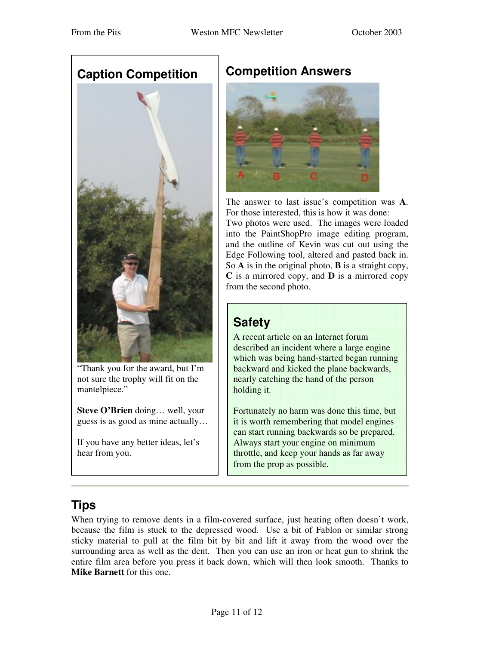

"Thank you for the award, but I'm not sure the trophy will fit on the mantelpiece."

**Steve O'Brien** doing… well, your guess is as good as mine actually…

If you have any better ideas, let's hear from you.

## **Competition Answers**



The answer to last issue's competition was **A**. For those interested, this is how it was done: Two photos were used. The images were loaded into the PaintShopPro image editing program, and the outline of Kevin was cut out using the Edge Following tool, altered and pasted back in. So **A** is in the original photo, **B** is a straight copy, **C** is a mirrored copy, and **D** is a mirrored copy from the second photo.

| <b>Safety</b>                                                                                                                                                                                                                                              |
|------------------------------------------------------------------------------------------------------------------------------------------------------------------------------------------------------------------------------------------------------------|
| A recent article on an Internet forum<br>described an incident where a large engine<br>which was being hand-started began running<br>backward and kicked the plane backwards,<br>nearly catching the hand of the person<br>holding it.                     |
| Fortunately no harm was done this time, but<br>it is worth remembering that model engines<br>can start running backwards so be prepared.<br>Always start your engine on minimum<br>throttle, and keep your hands as far away<br>from the prop as possible. |

## **Tips**

When trying to remove dents in a film-covered surface, just heating often doesn't work, because the film is stuck to the depressed wood. Use a bit of Fablon or similar strong sticky material to pull at the film bit by bit and lift it away from the wood over the surrounding area as well as the dent. Then you can use an iron or heat gun to shrink the entire film area before you press it back down, which will then look smooth. Thanks to **Mike Barnett** for this one.